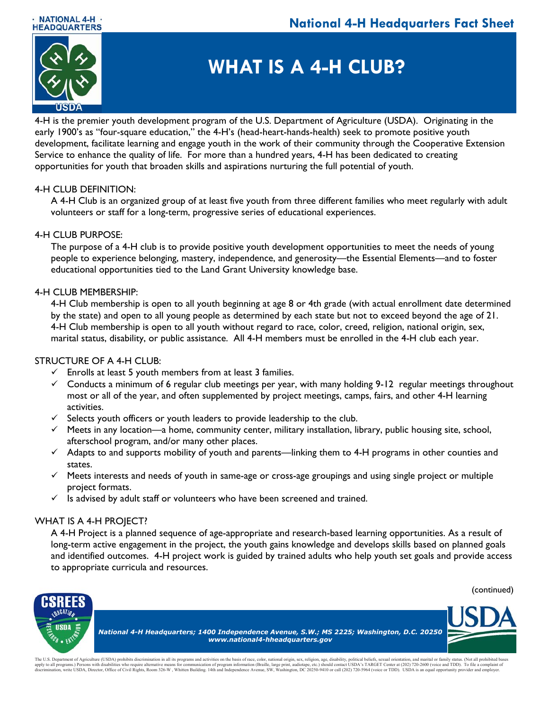



# **WHAT IS A 4-H CLUB?**

4-H is the premier youth development program of the U.S. Department of Agriculture (USDA). Originating in the early 1900's as "four-square education," the 4-H's (head-heart-hands-health) seek to promote positive youth development, facilitate learning and engage youth in the work of their community through the Cooperative Extension Service to enhance the quality of life. For more than a hundred years, 4-H has been dedicated to creating opportunities for youth that broaden skills and aspirations nurturing the full potential of youth.

## 4-H CLUB DEFINITION:

A 4-H Club is an organized group of at least five youth from three different families who meet regularly with adult volunteers or staff for a long-term, progressive series of educational experiences.

## 4-H CLUB PURPOSE:

The purpose of a 4-H club is to provide positive youth development opportunities to meet the needs of young people to experience belonging, mastery, independence, and generosity—the Essential Elements—and to foster educational opportunities tied to the Land Grant University knowledge base.

## 4-H CLUB MEMBERSHIP:

4-H Club membership is open to all youth beginning at age 8 or 4th grade (with actual enrollment date determined by the state) and open to all young people as determined by each state but not to exceed beyond the age of 21. 4-H Club membership is open to all youth without regard to race, color, creed, religion, national origin, sex, marital status, disability, or public assistance. All 4-H members must be enrolled in the 4-H club each year.

## STRUCTURE OF A 4-H CLUB:

- $\checkmark$  Enrolls at least 5 youth members from at least 3 families.
- $\checkmark$  Conducts a minimum of 6 regular club meetings per year, with many holding 9-12 regular meetings throughout most or all of the year, and often supplemented by project meetings, camps, fairs, and other 4-H learning activities.
- $\checkmark$  Selects youth officers or youth leaders to provide leadership to the club.
- $\checkmark$  Meets in any location—a home, community center, military installation, library, public housing site, school, afterschool program, and/or many other places.
- $\checkmark$  Adapts to and supports mobility of youth and parents—linking them to 4-H programs in other counties and states.
- $\checkmark$  Meets interests and needs of youth in same-age or cross-age groupings and using single project or multiple project formats.
- $\checkmark$  Is advised by adult staff or volunteers who have been screened and trained.

### WHAT IS A 4-H PROJECT?

A 4-H Project is a planned sequence of age-appropriate and research-based learning opportunities. As a result of long-term active engagement in the project, the youth gains knowledge and develops skills based on planned goals and identified outcomes. 4-H project work is guided by trained adults who help youth set goals and provide access to appropriate curricula and resources.





The U.S. Department of Agriculture (USDA) prohibits discrimination in all its programs and activities on the basis of race, color, national origin, sex, religion, age, disability, political beliefs, sexual origntation, and apply to all programs.) Persons with disabilities who require alternative means for communication of program information (Braille, large print, audiotarye, etc.) should contact USDA's TARGET Center at (202) 720-5964 (voice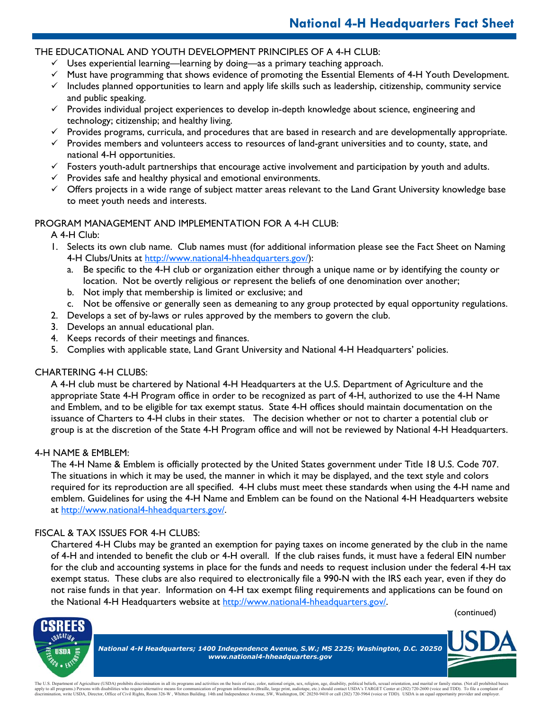## THE EDUCATIONAL AND YOUTH DEVELOPMENT PRINCIPLES OF A 4-H CLUB:

- $\checkmark$  Uses experiential learning—learning by doing—as a primary teaching approach.
- $\checkmark$  Must have programming that shows evidence of promoting the Essential Elements of 4-H Youth Development.
- $\checkmark$  Includes planned opportunities to learn and apply life skills such as leadership, citizenship, community service and public speaking.
- $\checkmark$  Provides individual project experiences to develop in-depth knowledge about science, engineering and technology; citizenship; and healthy living.
- $\checkmark$  Provides programs, curricula, and procedures that are based in research and are developmentally appropriate.
- $\checkmark$  Provides members and volunteers access to resources of land-grant universities and to county, state, and national 4-H opportunities.
- $\checkmark$  Fosters youth-adult partnerships that encourage active involvement and participation by youth and adults.
- $\checkmark$  Provides safe and healthy physical and emotional environments.
- $\checkmark$  Offers projects in a wide range of subject matter areas relevant to the Land Grant University knowledge base to meet youth needs and interests.

## PROGRAM MANAGEMENT AND IMPLEMENTATION FOR A 4-H CLUB:

## A 4-H Club:

- 1. Selects its own club name. Club names must (for additional information please see the Fact Sheet on Naming 4-H Clubs/Units at http://www.national4-hheadquarters.gov/):
	- a. Be specific to the 4-H club or organization either through a unique name or by identifying the county or location. Not be overtly religious or represent the beliefs of one denomination over another;
	- b. Not imply that membership is limited or exclusive; and
	- c. Not be offensive or generally seen as demeaning to any group protected by equal opportunity regulations.
- 2. Develops a set of by-laws or rules approved by the members to govern the club.
- 3. Develops an annual educational plan.
- 4. Keeps records of their meetings and finances.
- 5. Complies with applicable state, Land Grant University and National 4-H Headquarters' policies.

## CHARTERING 4-H CLUBS:

A 4-H club must be chartered by National 4-H Headquarters at the U.S. Department of Agriculture and the appropriate State 4-H Program office in order to be recognized as part of 4-H, authorized to use the 4-H Name and Emblem, and to be eligible for tax exempt status. State 4-H offices should maintain documentation on the issuance of Charters to 4-H clubs in their states. The decision whether or not to charter a potential club or group is at the discretion of the State 4-H Program office and will not be reviewed by National 4-H Headquarters.

### 4-H NAME & EMBLEM:

The 4-H Name & Emblem is officially protected by the United States government under Title 18 U.S. Code 707. The situations in which it may be used, the manner in which it may be displayed, and the text style and colors required for its reproduction are all specified. 4-H clubs must meet these standards when using the 4-H name and emblem. Guidelines for using the 4-H Name and Emblem can be found on the National 4-H Headquarters website at http://www.national4-hheadquarters.gov/.

### FISCAL & TAX ISSUES FOR 4-H CLUBS:

Chartered 4-H Clubs may be granted an exemption for paying taxes on income generated by the club in the name of 4-H and intended to benefit the club or 4-H overall. If the club raises funds, it must have a federal EIN number for the club and accounting systems in place for the funds and needs to request inclusion under the federal 4-H tax exempt status. These clubs are also required to electronically file a 990-N with the IRS each year, even if they do not raise funds in that year. Information on 4-H tax exempt filing requirements and applications can be found on the National 4-H Headquarters website at http://www.national4-hheadquarters.gov/.



The U.S. Department of Agriculture (USDA) prohibits discrimination in all its programs and activities on the basis of race, color, national origin, sex, religion, age, disability, political beliefs, sexual orientation, and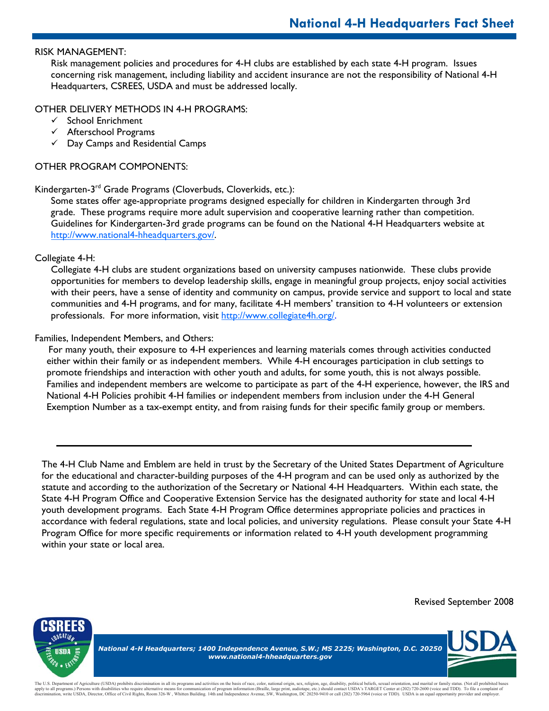### RISK MANAGEMENT:

Risk management policies and procedures for 4-H clubs are established by each state 4-H program. Issues concerning risk management, including liability and accident insurance are not the responsibility of National 4-H Headquarters, CSREES, USDA and must be addressed locally.

#### OTHER DELIVERY METHODS IN 4-H PROGRAMS:

- $\checkmark$  School Enrichment
- $\checkmark$  Afterschool Programs
- $\checkmark$  Day Camps and Residential Camps

### OTHER PROGRAM COMPONENTS:

### Kindergarten-3rd Grade Programs (Cloverbuds, Cloverkids, etc.):

Some states offer age-appropriate programs designed especially for children in Kindergarten through 3rd grade. These programs require more adult supervision and cooperative learning rather than competition. Guidelines for Kindergarten-3rd grade programs can be found on the National 4-H Headquarters website at http://www.national4-hheadquarters.gov/.

### Collegiate 4-H:

Collegiate 4-H clubs are student organizations based on university campuses nationwide. These clubs provide opportunities for members to develop leadership skills, engage in meaningful group projects, enjoy social activities with their peers, have a sense of identity and community on campus, provide service and support to local and state communities and 4-H programs, and for many, facilitate 4-H members' transition to 4-H volunteers or extension professionals. For more information, visit http://www.collegiate4h.org/.

### Families, Independent Members, and Others:

 For many youth, their exposure to 4-H experiences and learning materials comes through activities conducted either within their family or as independent members. While 4-H encourages participation in club settings to promote friendships and interaction with other youth and adults, for some youth, this is not always possible. Families and independent members are welcome to participate as part of the 4-H experience, however, the IRS and National 4-H Policies prohibit 4-H families or independent members from inclusion under the 4-H General Exemption Number as a tax-exempt entity, and from raising funds for their specific family group or members.

The 4-H Club Name and Emblem are held in trust by the Secretary of the United States Department of Agriculture for the educational and character-building purposes of the 4-H program and can be used only as authorized by the statute and according to the authorization of the Secretary or National 4-H Headquarters. Within each state, the State 4-H Program Office and Cooperative Extension Service has the designated authority for state and local 4-H youth development programs. Each State 4-H Program Office determines appropriate policies and practices in accordance with federal regulations, state and local policies, and university regulations. Please consult your State 4-H Program Office for more specific requirements or information related to 4-H youth development programming within your state or local area.





*National 4-H Headquarters; 1400 Independence Avenue, S.W.; MS 2225; Washington, D.C. 20250 www.national4-hheadquarters.gov*

The U.S. Department of Agriculture (USDA) prohibits discrimination in all its programs and activities on the basis of race, color, national origin, sex, religion, age, disability, political beliefs, sexual orientation, and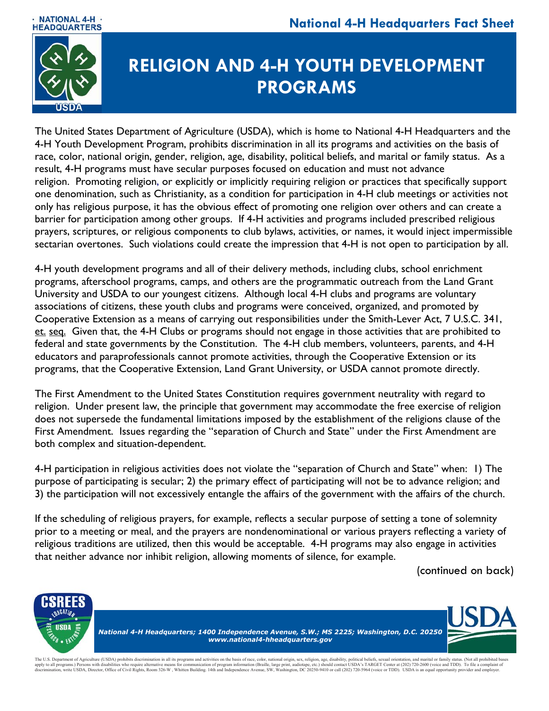



# **RELIGION AND 4-H YOUTH DEVELOPMENT PROGRAMS**

The United States Department of Agriculture (USDA), which is home to National 4-H Headquarters and the 4-H Youth Development Program, prohibits discrimination in all its programs and activities on the basis of race, color, national origin, gender, religion, age, disability, political beliefs, and marital or family status. As a result, 4-H programs must have secular purposes focused on education and must not advance religion. Promoting religion, or explicitly or implicitly requiring religion or practices that specifically support one denomination, such as Christianity, as a condition for participation in 4-H club meetings or activities not only has religious purpose, it has the obvious effect of promoting one religion over others and can create a barrier for participation among other groups. If 4-H activities and programs included prescribed religious prayers, scriptures, or religious components to club bylaws, activities, or names, it would inject impermissible sectarian overtones. Such violations could create the impression that 4-H is not open to participation by all.

4-H youth development programs and all of their delivery methods, including clubs, school enrichment programs, afterschool programs, camps, and others are the programmatic outreach from the Land Grant University and USDA to our youngest citizens. Although local 4-H clubs and programs are voluntary associations of citizens, these youth clubs and programs were conceived, organized, and promoted by Cooperative Extension as a means of carrying out responsibilities under the Smith-Lever Act, 7 U.S.C. 341, et. seq. Given that, the 4-H Clubs or programs should not engage in those activities that are prohibited to federal and state governments by the Constitution. The 4-H club members, volunteers, parents, and 4-H educators and paraprofessionals cannot promote activities, through the Cooperative Extension or its programs, that the Cooperative Extension, Land Grant University, or USDA cannot promote directly.

The First Amendment to the United States Constitution requires government neutrality with regard to religion. Under present law, the principle that government may accommodate the free exercise of religion does not supersede the fundamental limitations imposed by the establishment of the religions clause of the First Amendment. Issues regarding the "separation of Church and State" under the First Amendment are both complex and situation-dependent.

4-H participation in religious activities does not violate the "separation of Church and State" when: 1) The purpose of participating is secular; 2) the primary effect of participating will not be to advance religion; and 3) the participation will not excessively entangle the affairs of the government with the affairs of the church.

If the scheduling of religious prayers, for example, reflects a secular purpose of setting a tone of solemnity prior to a meeting or meal, and the prayers are nondenominational or various prayers reflecting a variety of religious traditions are utilized, then this would be acceptable. 4-H programs may also engage in activities that neither advance nor inhibit religion, allowing moments of silence, for example.

(continued on back)



The U.S. Department of Agriculture (USDA) prohibits discrimination in all its programs and activities on the basis of race, color, national origin, sex, religion, age, disability, political beliefs, sexual orientation, and apply to all programs.) Persons with disabilities who require alternative means for communication of program information (Braille, large print, audiotarye, etc.) should contact USDA's TARGET Center at (202) 720-5964 (voice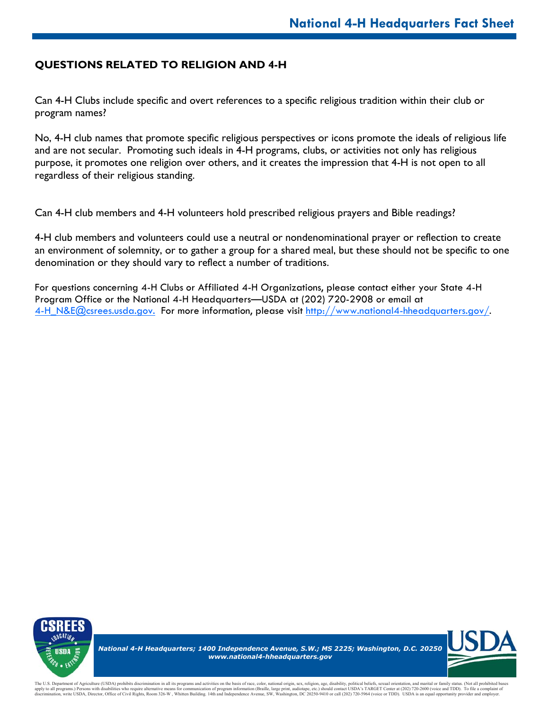## **QUESTIONS RELATED TO RELIGION AND 4-H**

Can 4-H Clubs include specific and overt references to a specific religious tradition within their club or program names?

No, 4-H club names that promote specific religious perspectives or icons promote the ideals of religious life and are not secular. Promoting such ideals in 4-H programs, clubs, or activities not only has religious purpose, it promotes one religion over others, and it creates the impression that 4-H is not open to all regardless of their religious standing.

Can 4-H club members and 4-H volunteers hold prescribed religious prayers and Bible readings?

4-H club members and volunteers could use a neutral or nondenominational prayer or reflection to create an environment of solemnity, or to gather a group for a shared meal, but these should not be specific to one denomination or they should vary to reflect a number of traditions.

For questions concerning 4-H Clubs or Affiliated 4-H Organizations, please contact either your State 4-H Program Office or the National 4-H Headquarters—USDA at (202) 720-2908 or email at [4-H\\_N&E@csrees.usda.gov.](Mailto:4HNE@csrees.usda.gov) For more information, please visit http://www.national4-hheadquarters.gov/.



*National 4-H Headquarters; 1400 Independence Avenue, S.W.; MS 2225; Washington, D.C. 20250 www.national4-hheadquarters.gov*



The U.S. Department of Agriculture (USDA) prohibits discrimination in all its programs and activities on the basis of race, color, national origin, sex, religion, age, disability, political beliefs, sexual orientation, and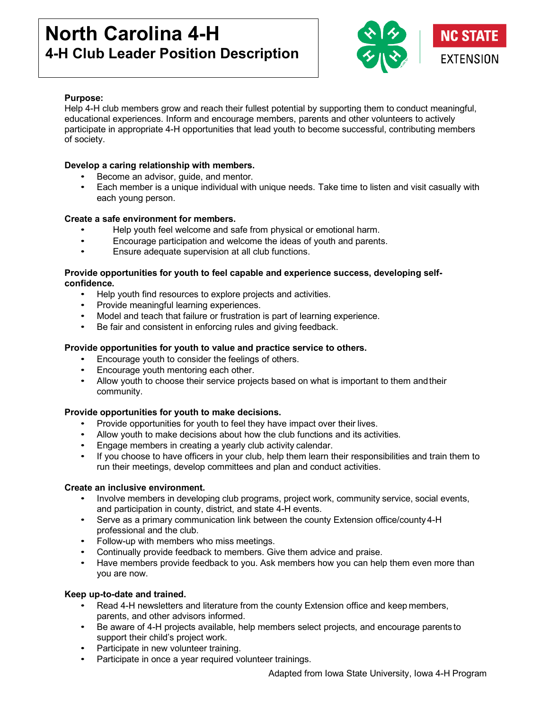# **North Carolina 4-H 4-H Club Leader Position Description**



## **Purpose:**

Help 4-H club members grow and reach their fullest potential by supporting them to conduct meaningful, educational experiences. Inform and encourage members, parents and other volunteers to actively participate in appropriate 4-H opportunities that lead youth to become successful, contributing members of society.

## **Develop a caring relationship with members.**

- Become an advisor, guide, and mentor.
- Each member is a unique individual with unique needs. Take time to listen and visit casually with each young person.

### **Create a safe environment for members.**

- Help youth feel welcome and safe from physical or emotional harm.
- Encourage participation and welcome the ideas of youth and parents.
- Ensure adequate supervision at all club functions.

#### **Provide opportunities for youth to feel capable and experience success, developing selfconfidence.**

- Help youth find resources to explore projects and activities.
- Provide meaningful learning experiences.
- Model and teach that failure or frustration is part of learning experience.
- Be fair and consistent in enforcing rules and giving feedback.

### **Provide opportunities for youth to value and practice service to others.**

- Encourage youth to consider the feelings of others.
- Encourage youth mentoring each other.
- Allow youth to choose their service projects based on what is important to them andtheir community.

### **Provide opportunities for youth to make decisions.**

- Provide opportunities for youth to feel they have impact over their lives.
- Allow youth to make decisions about how the club functions and its activities.
- Engage members in creating a yearly club activity calendar.
- If you choose to have officers in your club, help them learn their responsibilities and train them to run their meetings, develop committees and plan and conduct activities.

#### **Create an inclusive environment.**

- Involve members in developing club programs, project work, community service, social events, and participation in county, district, and state 4-H events.
- Serve as a primary communication link between the county Extension office/county 4-H professional and the club.
- Follow-up with members who miss meetings.
- Continually provide feedback to members. Give them advice and praise.
- Have members provide feedback to you. Ask members how you can help them even more than you are now.

#### **Keep up-to-date and trained.**

- Read 4-H newsletters and literature from the county Extension office and keep members, parents, and other advisors informed.
- Be aware of 4-H projects available, help members select projects, and encourage parents to support their child's project work.
- Participate in new volunteer training.
- Participate in once a year required volunteer trainings.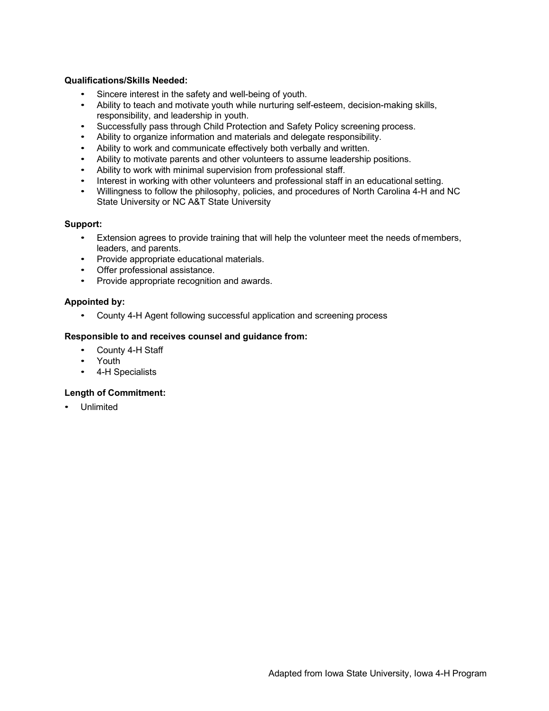#### **Qualifications/Skills Needed:**

- Sincere interest in the safety and well-being of youth.
- Ability to teach and motivate youth while nurturing self-esteem, decision-making skills, responsibility, and leadership in youth.
- Successfully pass through Child Protection and Safety Policy screening process.
- Ability to organize information and materials and delegate responsibility.
- Ability to work and communicate effectively both verbally and written.
- Ability to motivate parents and other volunteers to assume leadership positions.
- Ability to work with minimal supervision from professional staff.
- Interest in working with other volunteers and professional staff in an educational setting.
- Willingness to follow the philosophy, policies, and procedures of North Carolina 4-H and NC State University or NC A&T State University

#### **Support:**

- Extension agrees to provide training that will help the volunteer meet the needs ofmembers, leaders, and parents.
- Provide appropriate educational materials.
- Offer professional assistance.
- Provide appropriate recognition and awards.

#### **Appointed by:**

• County 4-H Agent following successful application and screening process

#### **Responsible to and receives counsel and guidance from:**

- County 4-H Staff
- Youth
- 4-H Specialists

#### **Length of Commitment:**

• Unlimited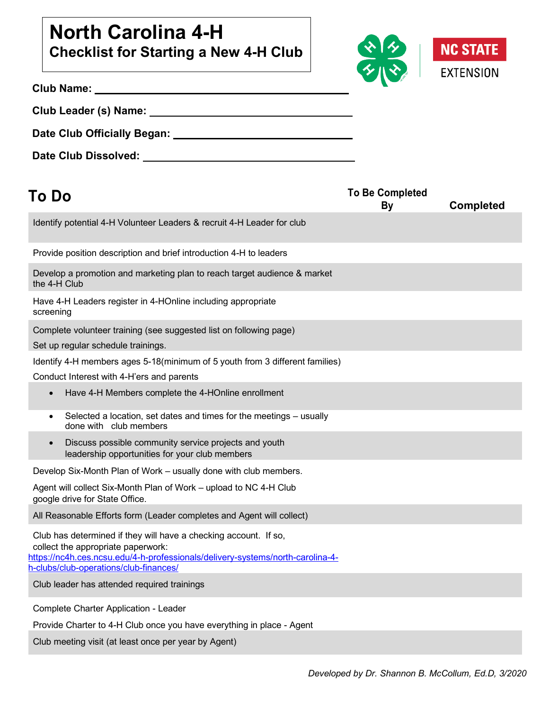# **North Carolina 4-H Checklist for Starting a New 4-H Club**



|                                                     | <b>Contract Contract of Street</b> |
|-----------------------------------------------------|------------------------------------|
|                                                     |                                    |
|                                                     |                                    |
| Date Club Dissolved: The Club State Club Dissolved: |                                    |

| <b>To Do</b>                                                                                                                                                                                                                       | <b>To Be Completed</b><br><b>By</b> | <b>Completed</b> |
|------------------------------------------------------------------------------------------------------------------------------------------------------------------------------------------------------------------------------------|-------------------------------------|------------------|
| Identify potential 4-H Volunteer Leaders & recruit 4-H Leader for club                                                                                                                                                             |                                     |                  |
| Provide position description and brief introduction 4-H to leaders                                                                                                                                                                 |                                     |                  |
| Develop a promotion and marketing plan to reach target audience & market<br>the 4-H Club                                                                                                                                           |                                     |                  |
| Have 4-H Leaders register in 4-HOnline including appropriate<br>screening                                                                                                                                                          |                                     |                  |
| Complete volunteer training (see suggested list on following page)                                                                                                                                                                 |                                     |                  |
| Set up regular schedule trainings.                                                                                                                                                                                                 |                                     |                  |
| Identify 4-H members ages 5-18(minimum of 5 youth from 3 different families)                                                                                                                                                       |                                     |                  |
| Conduct Interest with 4-H'ers and parents                                                                                                                                                                                          |                                     |                  |
| Have 4-H Members complete the 4-HOnline enrollment<br>$\bullet$                                                                                                                                                                    |                                     |                  |
| Selected a location, set dates and times for the meetings - usually<br>$\bullet$<br>done with club members                                                                                                                         |                                     |                  |
| Discuss possible community service projects and youth<br>$\bullet$<br>leadership opportunities for your club members                                                                                                               |                                     |                  |
| Develop Six-Month Plan of Work - usually done with club members.                                                                                                                                                                   |                                     |                  |
| Agent will collect Six-Month Plan of Work – upload to NC 4-H Club<br>google drive for State Office.                                                                                                                                |                                     |                  |
| All Reasonable Efforts form (Leader completes and Agent will collect)                                                                                                                                                              |                                     |                  |
| Club has determined if they will have a checking account. If so,<br>collect the appropriate paperwork:<br>https://nc4h.ces.ncsu.edu/4-h-professionals/delivery-systems/north-carolina-4-<br>h-clubs/club-operations/club-finances/ |                                     |                  |
| Club leader has attended required trainings                                                                                                                                                                                        |                                     |                  |
| Complete Charter Application - Leader                                                                                                                                                                                              |                                     |                  |
| Provide Charter to 4-H Club once you have everything in place - Agent                                                                                                                                                              |                                     |                  |

Club meeting visit (at least once per year by Agent)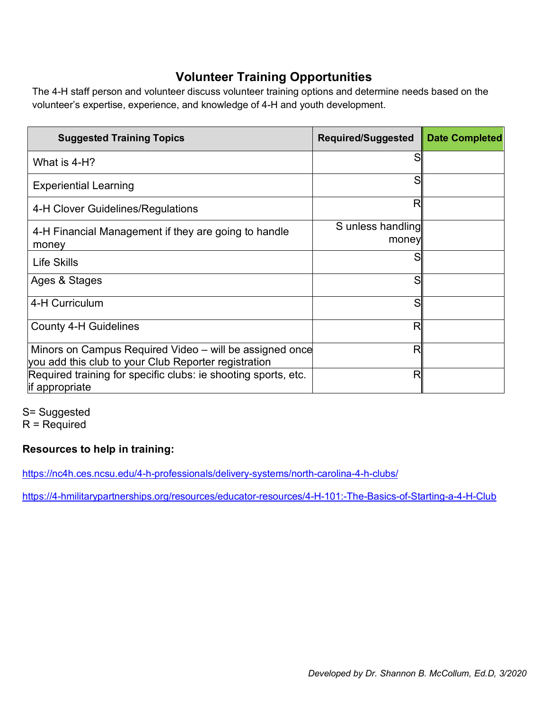## **Volunteer Training Opportunities**

The 4-H staff person and volunteer discuss volunteer training options and determine needs based on the volunteer's expertise, experience, and knowledge of 4-H and youth development.

| <b>Suggested Training Topics</b>                                                                                | <b>Required/Suggested</b>  | <b>Date Completed</b> |
|-----------------------------------------------------------------------------------------------------------------|----------------------------|-----------------------|
| What is 4-H?                                                                                                    |                            |                       |
| <b>Experiential Learning</b>                                                                                    |                            |                       |
| 4-H Clover Guidelines/Regulations                                                                               | R                          |                       |
| 4-H Financial Management if they are going to handle<br>money                                                   | S unless handling<br>money |                       |
| Life Skills                                                                                                     |                            |                       |
| Ages & Stages                                                                                                   |                            |                       |
| 4-H Curriculum                                                                                                  | S                          |                       |
| <b>County 4-H Guidelines</b>                                                                                    | R                          |                       |
| Minors on Campus Required Video – will be assigned once<br>you add this club to your Club Reporter registration | R                          |                       |
| Required training for specific clubs: ie shooting sports, etc.<br>if appropriate                                | R                          |                       |

S= Suggested  $R =$  Required

## **Resources to help in training:**

https://nc4h.ces.ncsu.edu/4-h-professionals/delivery-systems/north-carolina-4-h-clubs/

https://4-hmilitarypartnerships.org/resources/educator-resources/4-H-101:-The-Basics-of-Starting-a-4-H-Club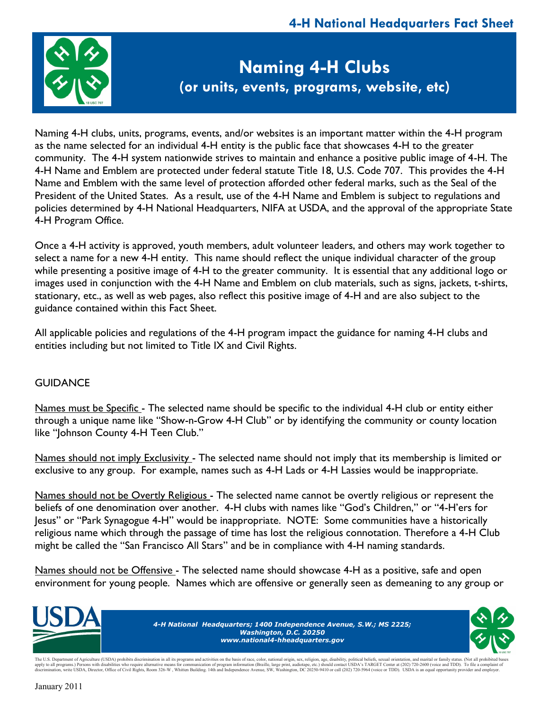

# **Naming 4-H Clubs (or units, events, programs, website, etc)**

Naming 4-H clubs, units, programs, events, and/or websites is an important matter within the 4-H program as the name selected for an individual 4-H entity is the public face that showcases 4-H to the greater community. The 4-H system nationwide strives to maintain and enhance a positive public image of 4-H. The 4-H Name and Emblem are protected under federal statute Title 18, U.S. Code 707. This provides the 4-H Name and Emblem with the same level of protection afforded other federal marks, such as the Seal of the President of the United States. As a result, use of the 4-H Name and Emblem is subject to regulations and policies determined by 4-H National Headquarters, NIFA at USDA, and the approval of the appropriate State 4-H Program Office.

Once a 4-H activity is approved, youth members, adult volunteer leaders, and others may work together to select a name for a new 4-H entity. This name should reflect the unique individual character of the group while presenting a positive image of 4-H to the greater community. It is essential that any additional logo or images used in conjunction with the 4-H Name and Emblem on club materials, such as signs, jackets, t-shirts, stationary, etc., as well as web pages, also reflect this positive image of 4-H and are also subject to the guidance contained within this Fact Sheet.

All applicable policies and regulations of the 4-H program impact the guidance for naming 4-H clubs and entities including but not limited to Title IX and Civil Rights.

## **GUIDANCE**

Names must be Specific - The selected name should be specific to the individual 4-H club or entity either through a unique name like "Show-n-Grow 4-H Club" or by identifying the community or county location like "Johnson County 4-H Teen Club."

Names should not imply Exclusivity - The selected name should not imply that its membership is limited or exclusive to any group. For example, names such as 4-H Lads or 4-H Lassies would be inappropriate.

Names should not be Overtly Religious - The selected name cannot be overtly religious or represent the beliefs of one denomination over another. 4-H clubs with names like "God's Children," or "4-H'ers for Jesus" or "Park Synagogue 4-H" would be inappropriate. NOTE: Some communities have a historically religious name which through the passage of time has lost the religious connotation. Therefore a 4-H Club might be called the "San Francisco All Stars" and be in compliance with 4-H naming standards.

Names should not be Offensive - The selected name should showcase 4-H as a positive, safe and open environment for young people. Names which are offensive or generally seen as demeaning to any group or



The U.S. Department of Agriculture (USDA) prohibits discrimination in all its programs and activities on the basis of race, color, national origin, sex, religion, age, disability, political beliefs, sexual orientation, and apply to all programs.) Persons with disabilities who require alternative means for communication of program information (Braille, large print, audiotape, etc.) should contact USDA's TARGET Center at (202) 720-2600 (voice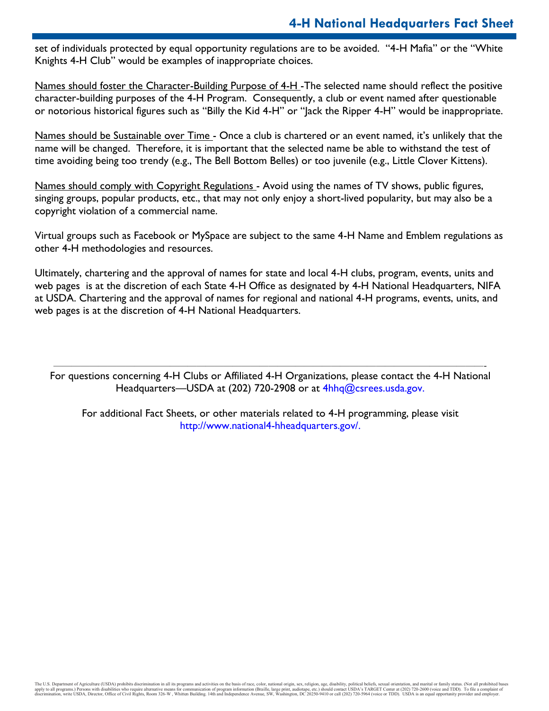set of individuals protected by equal opportunity regulations are to be avoided. "4-H Mafia" or the "White Knights 4-H Club" would be examples of inappropriate choices.

Names should foster the Character-Building Purpose of 4-H -The selected name should reflect the positive character-building purposes of the 4-H Program. Consequently, a club or event named after questionable or notorious historical figures such as "Billy the Kid 4-H" or "Jack the Ripper 4-H" would be inappropriate.

Names should be Sustainable over Time - Once a club is chartered or an event named, it's unlikely that the name will be changed. Therefore, it is important that the selected name be able to withstand the test of time avoiding being too trendy (e.g., The Bell Bottom Belles) or too juvenile (e.g., Little Clover Kittens).

Names should comply with Copyright Regulations - Avoid using the names of TV shows, public figures, singing groups, popular products, etc., that may not only enjoy a short-lived popularity, but may also be a copyright violation of a commercial name.

Virtual groups such as Facebook or MySpace are subject to the same 4-H Name and Emblem regulations as other 4-H methodologies and resources.

Ultimately, chartering and the approval of names for state and local 4-H clubs, program, events, units and web pages is at the discretion of each State 4-H Office as designated by 4-H National Headquarters, NIFA at USDA. Chartering and the approval of names for regional and national 4-H programs, events, units, and web pages is at the discretion of 4-H National Headquarters.

————————————————————————————————————————————————- For questions concerning 4-H Clubs or Affiliated 4-H Organizations, please contact the 4-H National Headquarters—USDA at (202) 720-2908 or at 4hhq@csrees.usda.gov.

For additional Fact Sheets, or other materials related to 4-H programming, please visit http://www.national4-hheadquarters.gov/.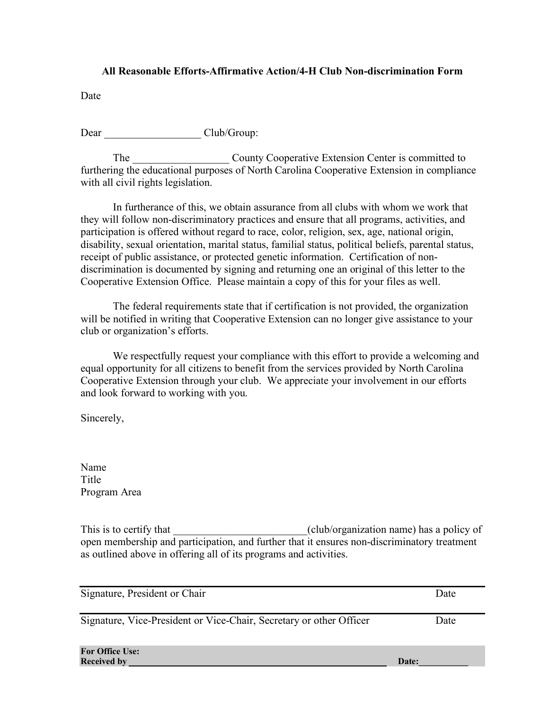## **All Reasonable Efforts-Affirmative Action/4-H Club Non-discrimination Form**

Date

Dear Club/Group:

The County Cooperative Extension Center is committed to furthering the educational purposes of North Carolina Cooperative Extension in compliance with all civil rights legislation.

In furtherance of this, we obtain assurance from all clubs with whom we work that they will follow non-discriminatory practices and ensure that all programs, activities, and participation is offered without regard to race, color, religion, sex, age, national origin, disability, sexual orientation, marital status, familial status, political beliefs, parental status, receipt of public assistance, or protected genetic information. Certification of nondiscrimination is documented by signing and returning one an original of this letter to the Cooperative Extension Office. Please maintain a copy of this for your files as well.

The federal requirements state that if certification is not provided, the organization will be notified in writing that Cooperative Extension can no longer give assistance to your club or organization's efforts.

We respectfully request your compliance with this effort to provide a welcoming and equal opportunity for all citizens to benefit from the services provided by North Carolina Cooperative Extension through your club. We appreciate your involvement in our efforts and look forward to working with you.

Sincerely,

Name Title Program Area

This is to certify that \_\_\_\_\_\_\_\_\_\_\_\_\_\_\_\_\_\_\_\_\_\_\_\_\_\_\_\_(club/organization name) has a policy of open membership and participation, and further that it ensures non-discriminatory treatment as outlined above in offering all of its programs and activities.

| Signature, President or Chair                                       | Date  |
|---------------------------------------------------------------------|-------|
| Signature, Vice-President or Vice-Chair, Secretary or other Officer | Date  |
| <b>For Office Use:</b><br><b>Received by</b>                        | Date: |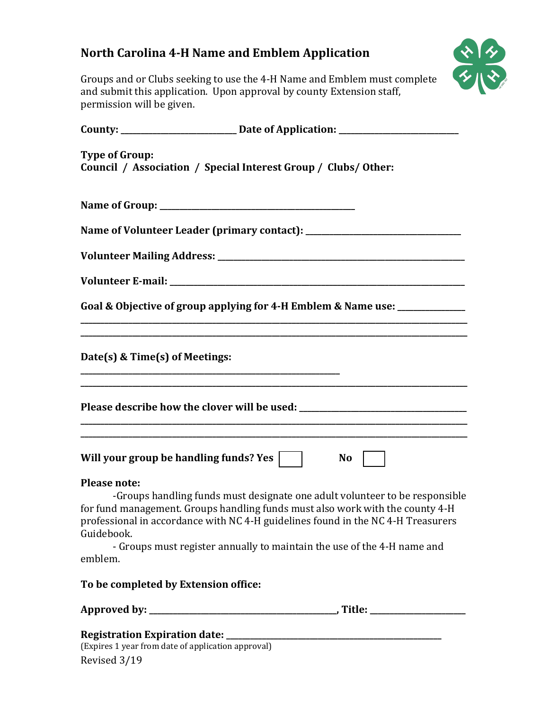## **North Carolina 4-H Name and Emblem Application**



Groups and or Clubs seeking to use the 4-H Name and Emblem must complete and submit this application. Upon approval by county Extension staff, permission will be given.

|                                              | County: _______________________________Date of Application: ____________________                                                                                                                                                                                                                                            |
|----------------------------------------------|-----------------------------------------------------------------------------------------------------------------------------------------------------------------------------------------------------------------------------------------------------------------------------------------------------------------------------|
| <b>Type of Group:</b>                        | Council / Association / Special Interest Group / Clubs/ Other:                                                                                                                                                                                                                                                              |
|                                              |                                                                                                                                                                                                                                                                                                                             |
|                                              |                                                                                                                                                                                                                                                                                                                             |
|                                              |                                                                                                                                                                                                                                                                                                                             |
|                                              |                                                                                                                                                                                                                                                                                                                             |
|                                              | Goal & Objective of group applying for 4-H Emblem & Name use: ____________                                                                                                                                                                                                                                                  |
|                                              | Date(s) & Time(s) of Meetings:                                                                                                                                                                                                                                                                                              |
|                                              | Please describe how the clover will be used: ___________________________________                                                                                                                                                                                                                                            |
|                                              | Will your group be handling funds? Yes    <br><b>No</b>                                                                                                                                                                                                                                                                     |
| <b>Please note:</b><br>Guidebook.<br>emblem. | -Groups handling funds must designate one adult volunteer to be responsible<br>for fund management. Groups handling funds must also work with the county 4-H<br>professional in accordance with NC 4-H guidelines found in the NC 4-H Treasurers<br>- Groups must register annually to maintain the use of the 4-H name and |
|                                              | To be completed by Extension office:                                                                                                                                                                                                                                                                                        |
|                                              |                                                                                                                                                                                                                                                                                                                             |
|                                              | (Expires 1 year from date of application approval)                                                                                                                                                                                                                                                                          |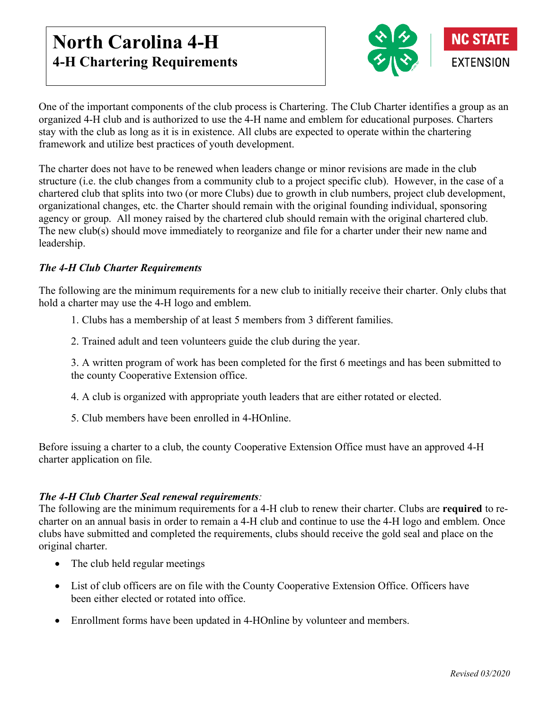## **North Carolina 4-H 4-H Chartering Requirements**



One of the important components of the club process is Chartering. The Club Charter identifies a group as an organized 4-H club and is authorized to use the 4-H name and emblem for educational purposes. Charters stay with the club as long as it is in existence. All clubs are expected to operate within the chartering framework and utilize best practices of youth development.

The charter does not have to be renewed when leaders change or minor revisions are made in the club structure (i.e. the club changes from a community club to a project specific club). However, in the case of a chartered club that splits into two (or more Clubs) due to growth in club numbers, project club development, organizational changes, etc. the Charter should remain with the original founding individual, sponsoring agency or group. All money raised by the chartered club should remain with the original chartered club. The new club(s) should move immediately to reorganize and file for a charter under their new name and leadership.

## *The 4-H Club Charter Requirements*

The following are the minimum requirements for a new club to initially receive their charter. Only clubs that hold a charter may use the 4-H logo and emblem.

- 1. Clubs has a membership of at least 5 members from 3 different families.
- 2. Trained adult and teen volunteers guide the club during the year.

3. A written program of work has been completed for the first 6 meetings and has been submitted to the county Cooperative Extension office.

- 4. A club is organized with appropriate youth leaders that are either rotated or elected.
- 5. Club members have been enrolled in 4-HOnline.

Before issuing a charter to a club, the county Cooperative Extension Office must have an approved 4-H charter application on file.

## *The 4-H Club Charter Seal renewal requirements:*

The following are the minimum requirements for a 4-H club to renew their charter. Clubs are **required** to recharter on an annual basis in order to remain a 4-H club and continue to use the 4-H logo and emblem. Once clubs have submitted and completed the requirements, clubs should receive the gold seal and place on the original charter.

- The club held regular meetings
- List of club officers are on file with the County Cooperative Extension Office. Officers have been either elected or rotated into office.
- Enrollment forms have been updated in 4-HOnline by volunteer and members.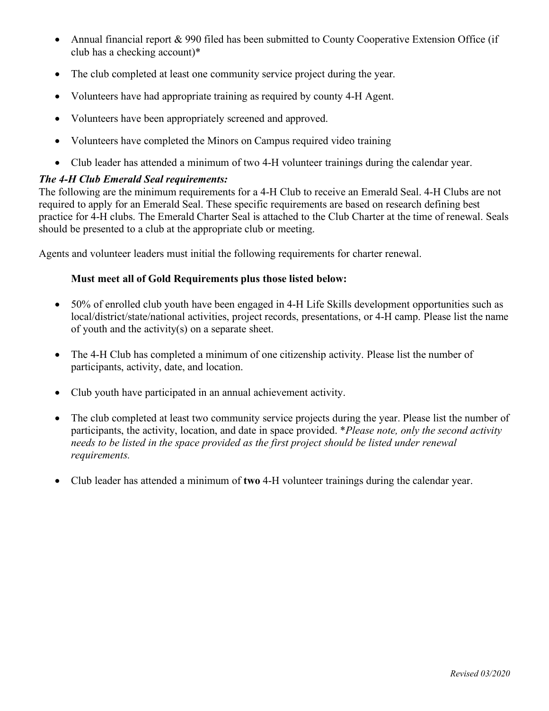- Annual financial report & 990 filed has been submitted to County Cooperative Extension Office (if club has a checking account)\*
- The club completed at least one community service project during the year.
- Volunteers have had appropriate training as required by county 4-H Agent.
- Volunteers have been appropriately screened and approved.
- Volunteers have completed the Minors on Campus required video training
- Club leader has attended a minimum of two 4-H volunteer trainings during the calendar year.

## *The 4-H Club Emerald Seal requirements:*

The following are the minimum requirements for a 4-H Club to receive an Emerald Seal. 4-H Clubs are not required to apply for an Emerald Seal. These specific requirements are based on research defining best practice for 4-H clubs. The Emerald Charter Seal is attached to the Club Charter at the time of renewal. Seals should be presented to a club at the appropriate club or meeting.

Agents and volunteer leaders must initial the following requirements for charter renewal.

## **Must meet all of Gold Requirements plus those listed below:**

- 50% of enrolled club youth have been engaged in 4-H Life Skills development opportunities such as local/district/state/national activities, project records, presentations, or 4-H camp. Please list the name of youth and the activity(s) on a separate sheet.
- The 4-H Club has completed a minimum of one citizenship activity. Please list the number of participants, activity, date, and location.
- Club youth have participated in an annual achievement activity.
- The club completed at least two community service projects during the year. Please list the number of participants, the activity, location, and date in space provided. \**Please note, only the second activity needs to be listed in the space provided as the first project should be listed under renewal requirements.*
- Club leader has attended a minimum of **two** 4-H volunteer trainings during the calendar year.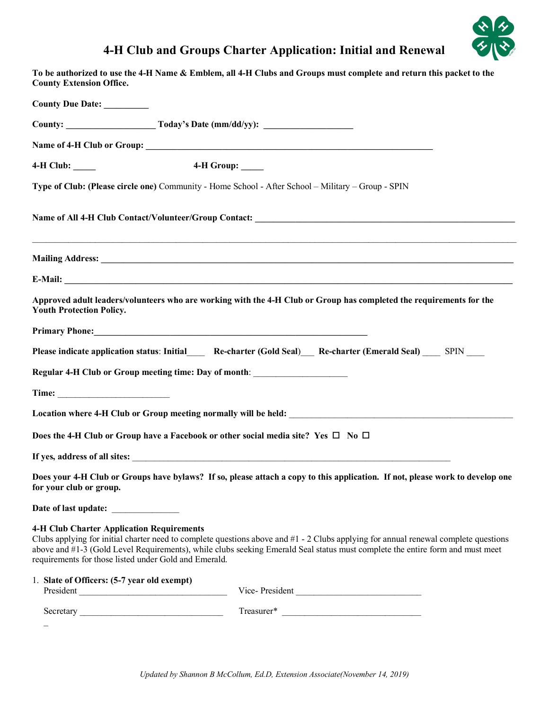## **4-H Club and Groups Charter Application: Initial and Renewal**



| <b>County Extension Office.</b>                                                                           | To be authorized to use the 4-H Name & Emblem, all 4-H Clubs and Groups must complete and return this packet to the                                                                                                                                                  |
|-----------------------------------------------------------------------------------------------------------|----------------------------------------------------------------------------------------------------------------------------------------------------------------------------------------------------------------------------------------------------------------------|
| County Due Date: _________                                                                                |                                                                                                                                                                                                                                                                      |
|                                                                                                           |                                                                                                                                                                                                                                                                      |
|                                                                                                           |                                                                                                                                                                                                                                                                      |
| 4-H Club: ____                                                                                            | 4-H Group: ____                                                                                                                                                                                                                                                      |
|                                                                                                           | Type of Club: (Please circle one) Community - Home School - After School - Military - Group - SPIN                                                                                                                                                                   |
|                                                                                                           |                                                                                                                                                                                                                                                                      |
|                                                                                                           |                                                                                                                                                                                                                                                                      |
|                                                                                                           |                                                                                                                                                                                                                                                                      |
| <b>Youth Protection Policy.</b>                                                                           | Approved adult leaders/volunteers who are working with the 4-H Club or Group has completed the requirements for the                                                                                                                                                  |
|                                                                                                           |                                                                                                                                                                                                                                                                      |
|                                                                                                           | Please indicate application status: Initial_____ Re-charter (Gold Seal)___ Re-charter (Emerald Seal) ____ SPIN ____                                                                                                                                                  |
| Regular 4-H Club or Group meeting time: Day of month: __________________________                          |                                                                                                                                                                                                                                                                      |
|                                                                                                           |                                                                                                                                                                                                                                                                      |
|                                                                                                           |                                                                                                                                                                                                                                                                      |
| Does the 4-H Club or Group have a Facebook or other social media site? Yes $\square$ No $\square$         |                                                                                                                                                                                                                                                                      |
|                                                                                                           | If yes, address of all sites: $\sqrt{ }$                                                                                                                                                                                                                             |
| for your club or group.                                                                                   | Does your 4-H Club or Groups have bylaws? If so, please attach a copy to this application. If not, please work to develop one                                                                                                                                        |
| Date of last update: _____________                                                                        |                                                                                                                                                                                                                                                                      |
| <b>4-H Club Charter Application Requirements</b><br>requirements for those listed under Gold and Emerald. | Clubs applying for initial charter need to complete questions above and #1 - 2 Clubs applying for annual renewal complete questions<br>above and #1-3 (Gold Level Requirements), while clubs seeking Emerald Seal status must complete the entire form and must meet |
| 1. Slate of Officers: (5-7 year old exempt)                                                               | Vice-President                                                                                                                                                                                                                                                       |
|                                                                                                           |                                                                                                                                                                                                                                                                      |

 $\overline{\phantom{0}}$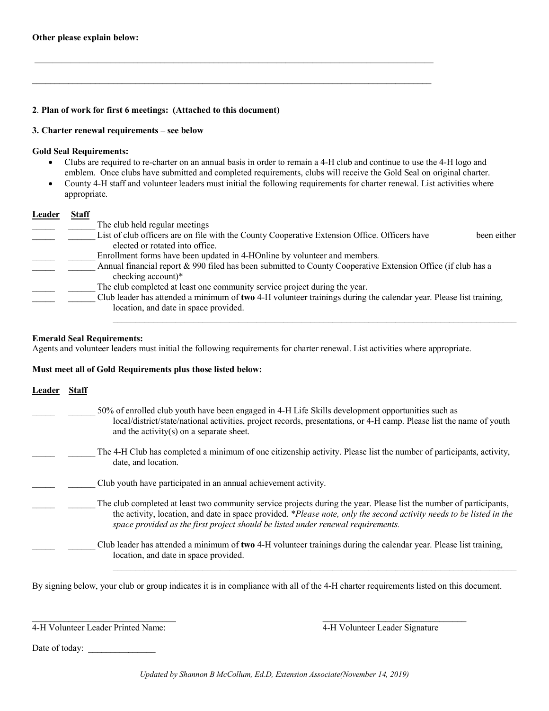#### **2**. **Plan of work for first 6 meetings: (Attached to this document)**

#### **3. Charter renewal requirements – see below**

#### **Gold Seal Requirements:**

• Clubs are required to re-charter on an annual basis in order to remain a 4-H club and continue to use the 4-H logo and emblem. Once clubs have submitted and completed requirements, clubs will receive the Gold Seal on original charter.

 $\mathcal{L}_\mathcal{L} = \{ \mathcal{L}_\mathcal{L} = \{ \mathcal{L}_\mathcal{L} = \{ \mathcal{L}_\mathcal{L} = \{ \mathcal{L}_\mathcal{L} = \{ \mathcal{L}_\mathcal{L} = \{ \mathcal{L}_\mathcal{L} = \{ \mathcal{L}_\mathcal{L} = \{ \mathcal{L}_\mathcal{L} = \{ \mathcal{L}_\mathcal{L} = \{ \mathcal{L}_\mathcal{L} = \{ \mathcal{L}_\mathcal{L} = \{ \mathcal{L}_\mathcal{L} = \{ \mathcal{L}_\mathcal{L} = \{ \mathcal{L}_\mathcal{$ 

 $\mathcal{L}_\mathcal{L} = \{ \mathcal{L}_\mathcal{L} = \{ \mathcal{L}_\mathcal{L} = \{ \mathcal{L}_\mathcal{L} = \{ \mathcal{L}_\mathcal{L} = \{ \mathcal{L}_\mathcal{L} = \{ \mathcal{L}_\mathcal{L} = \{ \mathcal{L}_\mathcal{L} = \{ \mathcal{L}_\mathcal{L} = \{ \mathcal{L}_\mathcal{L} = \{ \mathcal{L}_\mathcal{L} = \{ \mathcal{L}_\mathcal{L} = \{ \mathcal{L}_\mathcal{L} = \{ \mathcal{L}_\mathcal{L} = \{ \mathcal{L}_\mathcal{$ 

• County 4-H staff and volunteer leaders must initial the following requirements for charter renewal. List activities where appropriate.

#### **Leader Staff**

| The club held regular meetings                                                                                    |  |
|-------------------------------------------------------------------------------------------------------------------|--|
| List of club officers are on file with the County Cooperative Extension Office. Officers have<br>been either      |  |
| elected or rotated into office.                                                                                   |  |
| Enrollment forms have been updated in 4-HOnline by volunteer and members.                                         |  |
| Annual financial report & 990 filed has been submitted to County Cooperative Extension Office (if club has a      |  |
| checking account)*                                                                                                |  |
| The club completed at least one community service project during the year.                                        |  |
| Club leader has attended a minimum of two 4-H volunteer trainings during the calendar year. Please list training, |  |
| location, and date in space provided.                                                                             |  |
|                                                                                                                   |  |

#### **Emerald Seal Requirements:**

Agents and volunteer leaders must initial the following requirements for charter renewal. List activities where appropriate.

#### **Must meet all of Gold Requirements plus those listed below:**

| Leader | Staff |                                                                                                                                                                                                                                                                                                                                 |
|--------|-------|---------------------------------------------------------------------------------------------------------------------------------------------------------------------------------------------------------------------------------------------------------------------------------------------------------------------------------|
|        |       | 50% of enrolled club youth have been engaged in 4-H Life Skills development opportunities such as<br>local/district/state/national activities, project records, presentations, or 4-H camp. Please list the name of youth<br>and the activity(s) on a separate sheet.                                                           |
|        |       | The 4-H Club has completed a minimum of one citizenship activity. Please list the number of participants, activity,<br>date, and location.                                                                                                                                                                                      |
|        |       | Club youth have participated in an annual achievement activity.                                                                                                                                                                                                                                                                 |
|        |       | The club completed at least two community service projects during the year. Please list the number of participants,<br>the activity, location, and date in space provided. *Please note, only the second activity needs to be listed in the<br>space provided as the first project should be listed under renewal requirements. |
|        |       | Club leader has attended a minimum of two 4-H volunteer trainings during the calendar year. Please list training,<br>location, and date in space provided.                                                                                                                                                                      |

By signing below, your club or group indicates it is in compliance with all of the 4-H charter requirements listed on this document.

 $\mathcal{L}_\text{max}$  , and the contribution of the contribution of the contribution of the contribution of the contribution of the contribution of the contribution of the contribution of the contribution of the contribution of t

 $\mathcal{L}_\mathcal{L} = \{ \mathcal{L}_\mathcal{L} = \{ \mathcal{L}_\mathcal{L} = \{ \mathcal{L}_\mathcal{L} = \{ \mathcal{L}_\mathcal{L} = \{ \mathcal{L}_\mathcal{L} = \{ \mathcal{L}_\mathcal{L} = \{ \mathcal{L}_\mathcal{L} = \{ \mathcal{L}_\mathcal{L} = \{ \mathcal{L}_\mathcal{L} = \{ \mathcal{L}_\mathcal{L} = \{ \mathcal{L}_\mathcal{L} = \{ \mathcal{L}_\mathcal{L} = \{ \mathcal{L}_\mathcal{L} = \{ \mathcal{L}_\mathcal{$ 

4-H Volunteer Leader Printed Name: 4-H Volunteer Leader Signature

Date of today: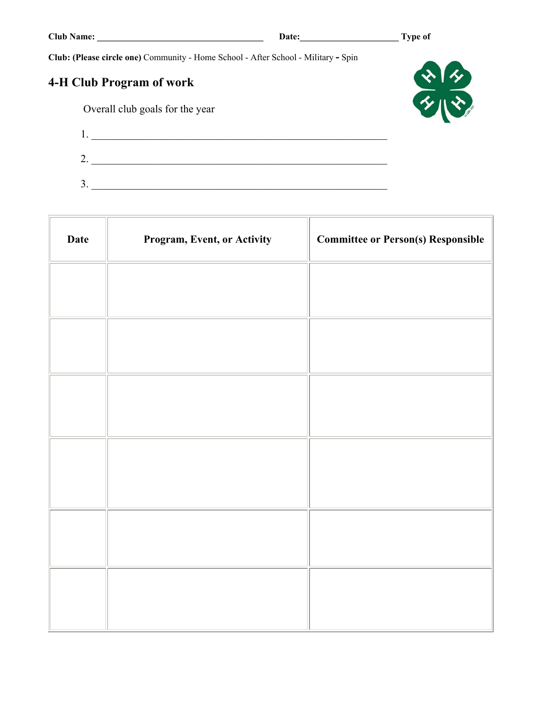**Club: (Please circle one)** Community - Home School - After School - Military **-** Spin

## **4-H Club Program of work**

Overall club goals for the year



L.

| ∼<br>∼   |  |
|----------|--|
| ◠<br>- 4 |  |

| <b>Date</b> | Program, Event, or Activity | <b>Committee or Person(s) Responsible</b> |
|-------------|-----------------------------|-------------------------------------------|
|             |                             |                                           |
|             |                             |                                           |
|             |                             |                                           |
|             |                             |                                           |
|             |                             |                                           |
|             |                             |                                           |
|             |                             |                                           |
|             |                             |                                           |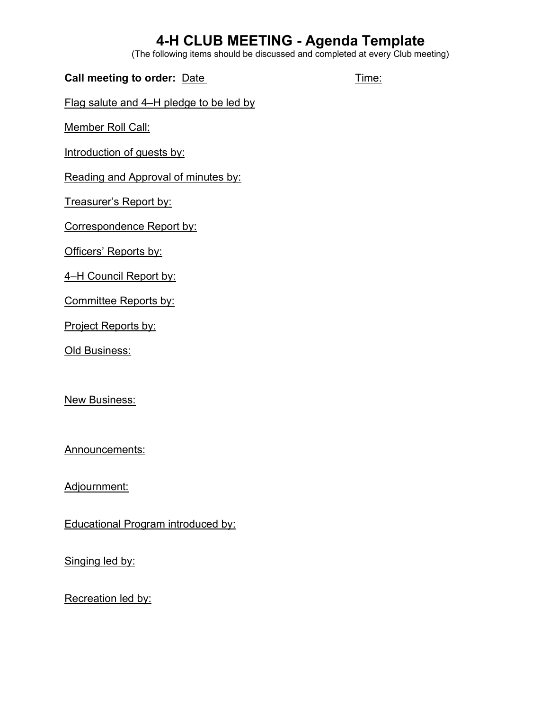## **4-H CLUB MEETING - Agenda Template**

(The following items should be discussed and completed at every Club meeting)

| Call meeting to order: Date             | Time: |
|-----------------------------------------|-------|
| Flag salute and 4–H pledge to be led by |       |

Member Roll Call:

Introduction of guests by:

Reading and Approval of minutes by:

Treasurer's Report by:

Correspondence Report by:

Officers' Reports by:

4–H Council Report by:

Committee Reports by:

Project Reports by:

Old Business:

**New Business:** 

Announcements:

Adjournment:

Educational Program introduced by:

Singing led by:

Recreation led by: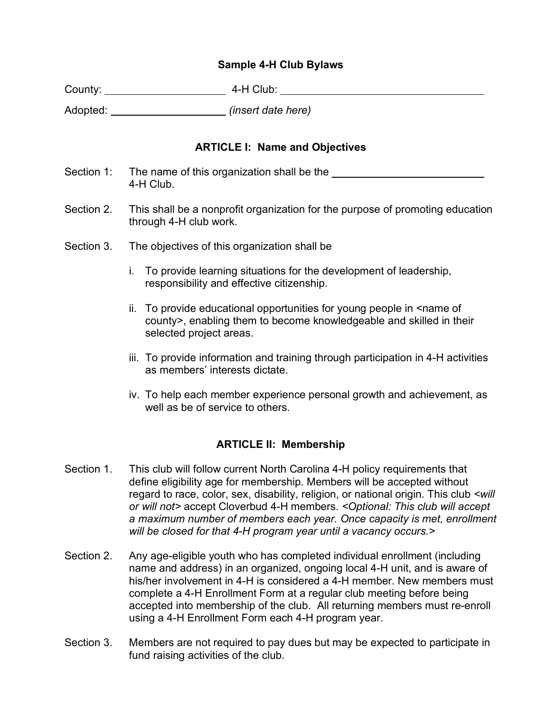## **Sample 4-H Club Bylaws**

| County: | 4-H Club: |
|---------|-----------|
|         |           |

Adopted: *(insert date here)*

## **ARTICLE I: Name and Objectives**

- Section 1: The name of this organization shall be the 4-H Club.
- Section 2. This shall be a nonprofit organization for the purpose of promoting education through 4-H club work.
- Section 3. The objectives of this organization shall be
	- i. To provide learning situations for the development of leadership, responsibility and effective citizenship.
	- ii. To provide educational opportunities for young people in <name of county>, enabling them to become knowledgeable and skilled in their selected project areas.
	- iii. To provide information and training through participation in 4-H activities as members' interests dictate.
	- iv. To help each member experience personal growth and achievement, as well as be of service to others.

## **ARTICLE II: Membership**

- Section 1. This club will follow current North Carolina 4-H policy requirements that define eligibility age for membership. Members will be accepted without regard to race, color, sex, disability, religion, or national origin. This club *<will or will not>* accept Cloverbud 4-H members. *<Optional: This club will accept a maximum number of members each year. Once capacity is met, enrollment will be closed for that 4-H program year until a vacancy occurs.>*
- Section 2. Any age-eligible youth who has completed individual enrollment (including name and address) in an organized, ongoing local 4-H unit, and is aware of his/her involvement in 4-H is considered a 4-H member. New members must complete a 4-H Enrollment Form at a regular club meeting before being accepted into membership of the club. All returning members must re-enroll using a 4-H Enrollment Form each 4-H program year.
- Section 3. Members are not required to pay dues but may be expected to participate in fund raising activities of the club.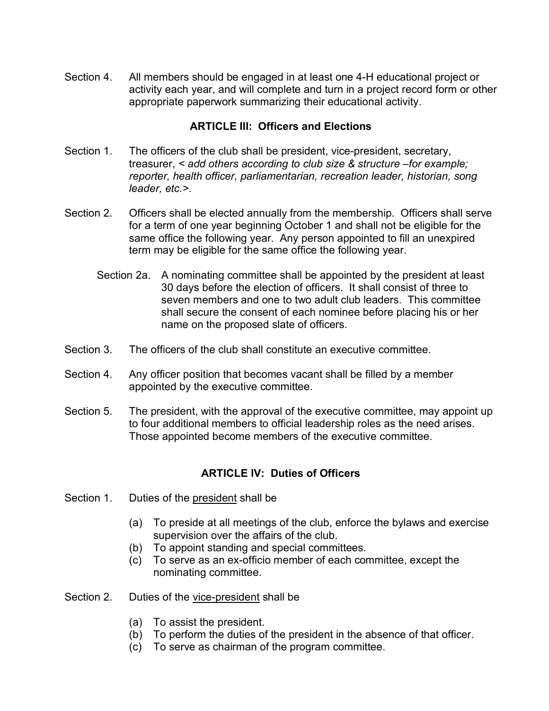Section 4. All members should be engaged in at least one 4-H educational project or activity each year, and will complete and turn in a project record form or other appropriate paperwork summarizing their educational activity.

## **ARTICLE III: Officers and Elections**

- Section 1. The officers of the club shall be president, vice-president, secretary, treasurer, *< add others according to club size & structure –for example; reporter, health officer, parliamentarian, recreation leader, historian, song leader, etc.>*.
- Section 2. Officers shall be elected annually from the membership. Officers shall serve for a term of one year beginning October 1 and shall not be eligible for the same office the following year. Any person appointed to fill an unexpired term may be eligible for the same office the following year.
	- Section 2a. A nominating committee shall be appointed by the president at least 30 days before the election of officers. It shall consist of three to seven members and one to two adult club leaders. This committee shall secure the consent of each nominee before placing his or her name on the proposed slate of officers.
- Section 3. The officers of the club shall constitute an executive committee.
- Section 4. Any officer position that becomes vacant shall be filled by a member appointed by the executive committee.
- Section 5. The president, with the approval of the executive committee, may appoint up to four additional members to official leadership roles as the need arises. Those appointed become members of the executive committee.

## **ARTICLE IV: Duties of Officers**

- Section 1. Duties of the president shall be
	- (a) To preside at all meetings of the club, enforce the bylaws and exercise supervision over the affairs of the club.
	- (b) To appoint standing and special committees.
	- (c) To serve as an ex-officio member of each committee, except the nominating committee.
- Section 2. Duties of the vice-president shall be
	- (a) To assist the president.
	- (b) To perform the duties of the president in the absence of that officer.
	- (c) To serve as chairman of the program committee.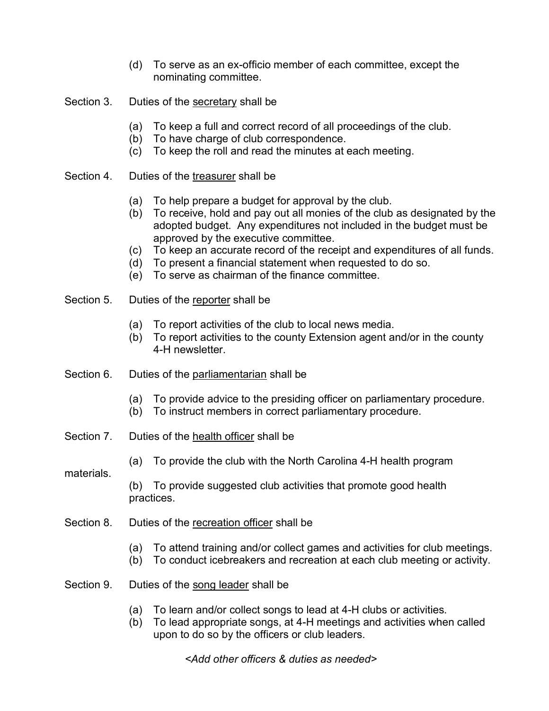- (d) To serve as an ex-officio member of each committee, except the nominating committee.
- Section 3. Duties of the secretary shall be
	- (a) To keep a full and correct record of all proceedings of the club.
	- (b) To have charge of club correspondence.
	- (c) To keep the roll and read the minutes at each meeting.
- Section 4. Duties of the treasurer shall be
	- (a) To help prepare a budget for approval by the club.
	- (b) To receive, hold and pay out all monies of the club as designated by the adopted budget. Any expenditures not included in the budget must be approved by the executive committee.
	- (c) To keep an accurate record of the receipt and expenditures of all funds.
	- (d) To present a financial statement when requested to do so.
	- (e) To serve as chairman of the finance committee.
- Section 5. Duties of the reporter shall be
	- (a) To report activities of the club to local news media.
	- (b) To report activities to the county Extension agent and/or in the county 4-H newsletter.
- Section 6. Duties of the parliamentarian shall be
	- (a) To provide advice to the presiding officer on parliamentary procedure.
	- (b) To instruct members in correct parliamentary procedure.
- Section 7. Duties of the health officer shall be
	- (a) To provide the club with the North Carolina 4-H health program
- materials.

(b) To provide suggested club activities that promote good health practices.

- Section 8. Duties of the recreation officer shall be
	- (a) To attend training and/or collect games and activities for club meetings.
	- (b) To conduct icebreakers and recreation at each club meeting or activity.
- Section 9. Duties of the song leader shall be
	- (a) To learn and/or collect songs to lead at 4-H clubs or activities.
	- (b) To lead appropriate songs, at 4-H meetings and activities when called upon to do so by the officers or club leaders.

*<Add other officers & duties as needed>*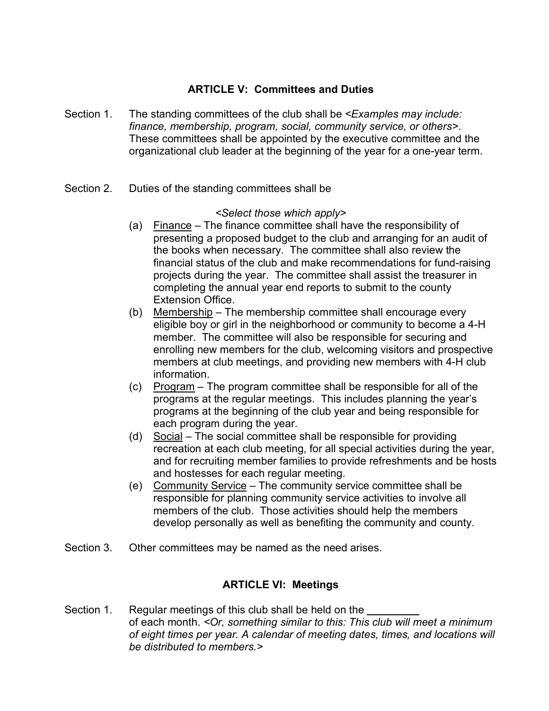## **ARTICLE V: Committees and Duties**

- Section 1. The standing committees of the club shall be *<Examples may include: finance, membership, program, social, community service, or others>*. These committees shall be appointed by the executive committee and the organizational club leader at the beginning of the year for a one-year term.
- Section 2. Duties of the standing committees shall be

## *<Select those which apply>*

- (a) Finance The finance committee shall have the responsibility of presenting a proposed budget to the club and arranging for an audit of the books when necessary. The committee shall also review the financial status of the club and make recommendations for fund-raising projects during the year. The committee shall assist the treasurer in completing the annual year end reports to submit to the county Extension Office.
- (b) Membership The membership committee shall encourage every eligible boy or girl in the neighborhood or community to become a 4-H member. The committee will also be responsible for securing and enrolling new members for the club, welcoming visitors and prospective members at club meetings, and providing new members with 4-H club information.
- (c) Program The program committee shall be responsible for all of the programs at the regular meetings. This includes planning the year's programs at the beginning of the club year and being responsible for each program during the year.
- (d) Social The social committee shall be responsible for providing recreation at each club meeting, for all special activities during the year, and for recruiting member families to provide refreshments and be hosts and hostesses for each regular meeting.
- (e) Community Service The community service committee shall be responsible for planning community service activities to involve all members of the club. Those activities should help the members develop personally as well as benefiting the community and county.
- Section 3. Other committees may be named as the need arises.

## **ARTICLE VI: Meetings**

Section 1. Regular meetings of this club shall be held on the of each month. *<Or, something similar to this: This club will meet a minimum of eight times per year. A calendar of meeting dates, times, and locations will be distributed to members.>*